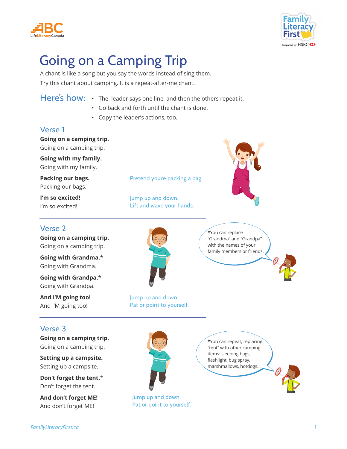



# Going on a Camping Trip

A chant is like a song but you say the words instead of sing them. Try this chant about camping. It is a repeat-after-me chant.

Here's how: • The leader says one line, and then the others repeat it.

- Go back and forth until the chant is done.
- Copy the leader's actions, too.

#### Verse 1

**Going on a camping trip.** Going on a camping trip.

**Going with my family.** Going with my family.

**Packing our bags.** Packing our bags.

**I'm so excited!**  I'm so excited!

#### Verse 2

**Going on a camping trip.** Going on a camping trip.

**Going with Grandma.**\* Going with Grandma.

**Going with Grandpa.**\* Going with Grandpa.

**And I'M going too!**  And I'M going too!

Jump up and down. Pat or point to yourself.

\*You can replace "Grandma" and "Grandpa" with the names of your family members or friends.

Verse 3

**Going on a camping trip.** Going on a camping trip.

**Setting up a campsite.** Setting up a campsite.

**Don't forget the tent.**\* Don't forget the tent.

**And don't forget ME!** And don't forget ME!



Jump up and down. Pat or point to yourself.

\*You can repeat, replacing "tent" with other camping items: sleeping bags, flashlight, bug spray, marshmallows, hotdogs…





Pretend you're packing a bag.

Jump up and down. Lift and wave your hands.